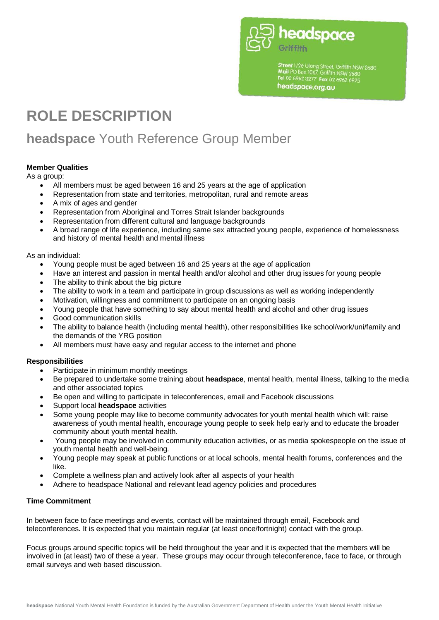

Street 1/26 Ulong Street, Griffith NSW 2680<br>Mail PO Box 1067, Griffith NSW 2680<br>Tel 02 6962 3277 Fax 02 6962 6925 headspace.org.au

# **ROLE DESCRIPTION**

# **headspace** Youth Reference Group Member

## **Member Qualities**

As a group:

- All members must be aged between 16 and 25 years at the age of application
- Representation from state and territories, metropolitan, rural and remote areas
- A mix of ages and gender
- Representation from Aboriginal and Torres Strait Islander backgrounds
- Representation from different cultural and language backgrounds
- A broad range of life experience, including same sex attracted young people, experience of homelessness and history of mental health and mental illness

As an individual:

- Young people must be aged between 16 and 25 years at the age of application
- Have an interest and passion in mental health and/or alcohol and other drug issues for young people
- The ability to think about the big picture
- The ability to work in a team and participate in group discussions as well as working independently
- Motivation, willingness and commitment to participate on an ongoing basis
- Young people that have something to say about mental health and alcohol and other drug issues
- Good communication skills
- The ability to balance health (including mental health), other responsibilities like school/work/uni/family and the demands of the YRG position
- All members must have easy and regular access to the internet and phone

#### **Responsibilities**

- Participate in minimum monthly meetings
- Be prepared to undertake some training about **headspace**, mental health, mental illness, talking to the media and other associated topics
- Be open and willing to participate in teleconferences, email and Facebook discussions
- Support local **headspace** activities
- Some young people may like to become community advocates for youth mental health which will: raise awareness of youth mental health, encourage young people to seek help early and to educate the broader community about youth mental health.
- Young people may be involved in community education activities, or as media spokespeople on the issue of youth mental health and well-being.
- Young people may speak at public functions or at local schools, mental health forums, conferences and the like.
- Complete a wellness plan and actively look after all aspects of your health
- Adhere to headspace National and relevant lead agency policies and procedures

#### **Time Commitment**

In between face to face meetings and events, contact will be maintained through email, Facebook and teleconferences. It is expected that you maintain regular (at least once/fortnight) contact with the group.

Focus groups around specific topics will be held throughout the year and it is expected that the members will be involved in (at least) two of these a year. These groups may occur through teleconference, face to face, or through email surveys and web based discussion.